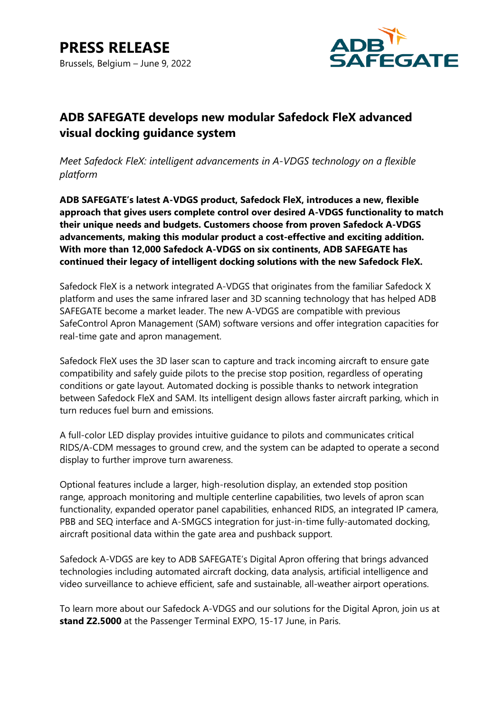

## **ADB SAFEGATE develops new modular Safedock FleX advanced visual docking guidance system**

*Meet Safedock FleX: intelligent advancements in A-VDGS technology on a flexible platform*

**ADB SAFEGATE's latest A-VDGS product, Safedock FleX, introduces a new, flexible approach that gives users complete control over desired A-VDGS functionality to match their unique needs and budgets. Customers choose from proven Safedock A-VDGS advancements, making this modular product a cost-effective and exciting addition. With more than 12,000 Safedock A-VDGS on six continents, ADB SAFEGATE has continued their legacy of intelligent docking solutions with the new Safedock FleX.**

Safedock FleX is a network integrated A-VDGS that originates from the familiar Safedock X platform and uses the same infrared laser and 3D scanning technology that has helped ADB SAFEGATE become a market leader. The new A-VDGS are compatible with previous SafeControl Apron Management (SAM) software versions and offer integration capacities for real-time gate and apron management.

Safedock FleX uses the 3D laser scan to capture and track incoming aircraft to ensure gate compatibility and safely guide pilots to the precise stop position, regardless of operating conditions or gate layout. Automated docking is possible thanks to network integration between Safedock FleX and SAM. Its intelligent design allows faster aircraft parking, which in turn reduces fuel burn and emissions.

A full-color LED display provides intuitive guidance to pilots and communicates critical RIDS/A-CDM messages to ground crew, and the system can be adapted to operate a second display to further improve turn awareness.

Optional features include a larger, high-resolution display, an extended stop position range, approach monitoring and multiple centerline capabilities, two levels of apron scan functionality, expanded operator panel capabilities, enhanced RIDS, an integrated IP camera, PBB and SEQ interface and A-SMGCS integration for just-in-time fully-automated docking, aircraft positional data within the gate area and pushback support.

Safedock A-VDGS are key to ADB SAFEGATE's Digital Apron offering that brings advanced technologies including automated aircraft docking, data analysis, artificial intelligence and video surveillance to achieve efficient, safe and sustainable, all-weather airport operations.

To learn more about our Safedock A-VDGS and our solutions for the Digital Apron, join us at **stand Z2.5000** at the Passenger Terminal EXPO, 15-17 June, in Paris.